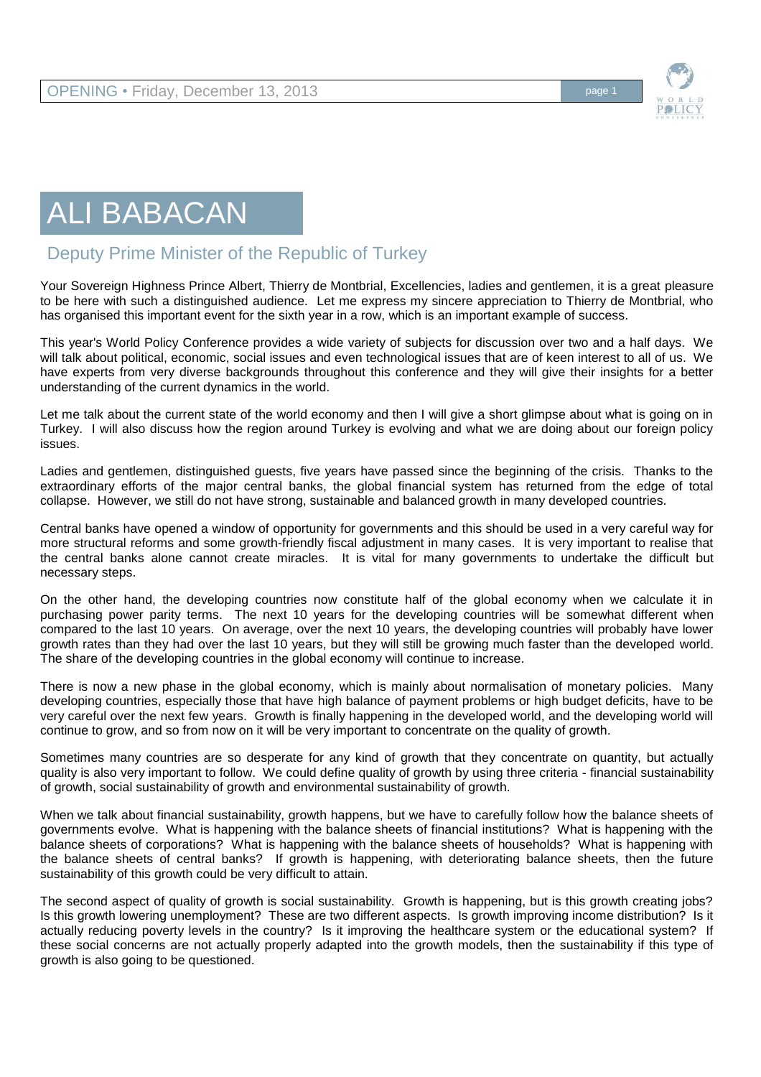

## ALI BABACAN

## Deputy Prime Minister of the Republic of Turkey

Your Sovereign Highness Prince Albert, Thierry de Montbrial, Excellencies, ladies and gentlemen, it is a great pleasure to be here with such a distinguished audience. Let me express my sincere appreciation to Thierry de Montbrial, who has organised this important event for the sixth year in a row, which is an important example of success.

This year's World Policy Conference provides a wide variety of subjects for discussion over two and a half days. We will talk about political, economic, social issues and even technological issues that are of keen interest to all of us. We have experts from very diverse backgrounds throughout this conference and they will give their insights for a better understanding of the current dynamics in the world.

Let me talk about the current state of the world economy and then I will give a short glimpse about what is going on in Turkey. I will also discuss how the region around Turkey is evolving and what we are doing about our foreign policy issues.

Ladies and gentlemen, distinguished guests, five years have passed since the beginning of the crisis. Thanks to the extraordinary efforts of the major central banks, the global financial system has returned from the edge of total collapse. However, we still do not have strong, sustainable and balanced growth in many developed countries.

Central banks have opened a window of opportunity for governments and this should be used in a very careful way for more structural reforms and some growth-friendly fiscal adjustment in many cases. It is very important to realise that the central banks alone cannot create miracles. It is vital for many governments to undertake the difficult but necessary steps.

On the other hand, the developing countries now constitute half of the global economy when we calculate it in purchasing power parity terms. The next 10 years for the developing countries will be somewhat different when compared to the last 10 years. On average, over the next 10 years, the developing countries will probably have lower growth rates than they had over the last 10 years, but they will still be growing much faster than the developed world. The share of the developing countries in the global economy will continue to increase.

There is now a new phase in the global economy, which is mainly about normalisation of monetary policies. Many developing countries, especially those that have high balance of payment problems or high budget deficits, have to be very careful over the next few years. Growth is finally happening in the developed world, and the developing world will continue to grow, and so from now on it will be very important to concentrate on the quality of growth.

Sometimes many countries are so desperate for any kind of growth that they concentrate on quantity, but actually quality is also very important to follow. We could define quality of growth by using three criteria - financial sustainability of growth, social sustainability of growth and environmental sustainability of growth.

When we talk about financial sustainability, growth happens, but we have to carefully follow how the balance sheets of governments evolve. What is happening with the balance sheets of financial institutions? What is happening with the balance sheets of corporations? What is happening with the balance sheets of households? What is happening with the balance sheets of central banks? If growth is happening, with deteriorating balance sheets, then the future sustainability of this growth could be very difficult to attain.

The second aspect of quality of growth is social sustainability. Growth is happening, but is this growth creating jobs? Is this growth lowering unemployment? These are two different aspects. Is growth improving income distribution? Is it actually reducing poverty levels in the country? Is it improving the healthcare system or the educational system? If these social concerns are not actually properly adapted into the growth models, then the sustainability if this type of growth is also going to be questioned.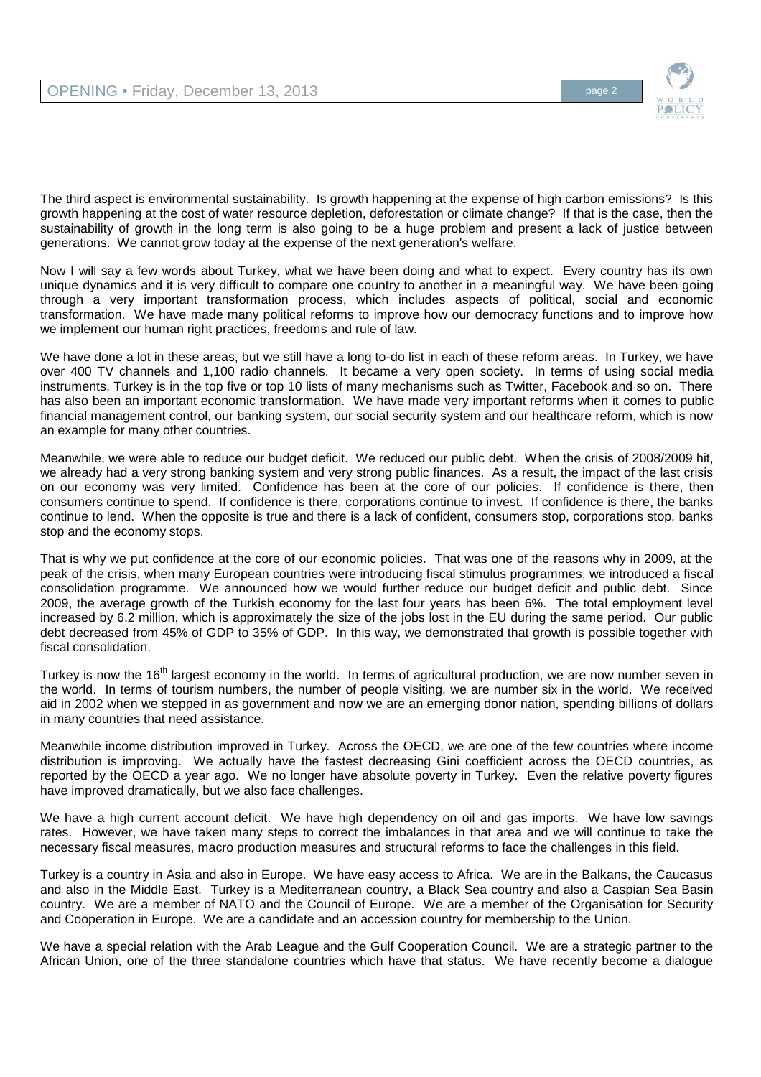

The third aspect is environmental sustainability. Is growth happening at the expense of high carbon emissions? Is this growth happening at the cost of water resource depletion, deforestation or climate change? If that is the case, then the sustainability of growth in the long term is also going to be a huge problem and present a lack of justice between generations. We cannot grow today at the expense of the next generation's welfare.

Now I will say a few words about Turkey, what we have been doing and what to expect. Every country has its own unique dynamics and it is very difficult to compare one country to another in a meaningful way. We have been going through a very important transformation process, which includes aspects of political, social and economic transformation. We have made many political reforms to improve how our democracy functions and to improve how we implement our human right practices, freedoms and rule of law.

We have done a lot in these areas, but we still have a long to-do list in each of these reform areas. In Turkey, we have over 400 TV channels and 1,100 radio channels. It became a very open society. In terms of using social media instruments, Turkey is in the top five or top 10 lists of many mechanisms such as Twitter, Facebook and so on. There has also been an important economic transformation. We have made very important reforms when it comes to public financial management control, our banking system, our social security system and our healthcare reform, which is now an example for many other countries.

Meanwhile, we were able to reduce our budget deficit. We reduced our public debt. When the crisis of 2008/2009 hit, we already had a very strong banking system and very strong public finances. As a result, the impact of the last crisis on our economy was very limited. Confidence has been at the core of our policies. If confidence is there, then consumers continue to spend. If confidence is there, corporations continue to invest. If confidence is there, the banks continue to lend. When the opposite is true and there is a lack of confident, consumers stop, corporations stop, banks stop and the economy stops.

That is why we put confidence at the core of our economic policies. That was one of the reasons why in 2009, at the peak of the crisis, when many European countries were introducing fiscal stimulus programmes, we introduced a fiscal consolidation programme. We announced how we would further reduce our budget deficit and public debt. Since 2009, the average growth of the Turkish economy for the last four years has been 6%. The total employment level increased by 6.2 million, which is approximately the size of the jobs lost in the EU during the same period. Our public debt decreased from 45% of GDP to 35% of GDP. In this way, we demonstrated that growth is possible together with fiscal consolidation.

Turkey is now the 16<sup>th</sup> largest economy in the world. In terms of agricultural production, we are now number seven in the world. In terms of tourism numbers, the number of people visiting, we are number six in the world. We received aid in 2002 when we stepped in as government and now we are an emerging donor nation, spending billions of dollars in many countries that need assistance.

Meanwhile income distribution improved in Turkey. Across the OECD, we are one of the few countries where income distribution is improving. We actually have the fastest decreasing Gini coefficient across the OECD countries, as reported by the OECD a year ago. We no longer have absolute poverty in Turkey. Even the relative poverty figures have improved dramatically, but we also face challenges.

We have a high current account deficit. We have high dependency on oil and gas imports. We have low savings rates. However, we have taken many steps to correct the imbalances in that area and we will continue to take the necessary fiscal measures, macro production measures and structural reforms to face the challenges in this field.

Turkey is a country in Asia and also in Europe. We have easy access to Africa. We are in the Balkans, the Caucasus and also in the Middle East. Turkey is a Mediterranean country, a Black Sea country and also a Caspian Sea Basin country. We are a member of NATO and the Council of Europe. We are a member of the Organisation for Security and Cooperation in Europe. We are a candidate and an accession country for membership to the Union.

We have a special relation with the Arab League and the Gulf Cooperation Council. We are a strategic partner to the African Union, one of the three standalone countries which have that status. We have recently become a dialogue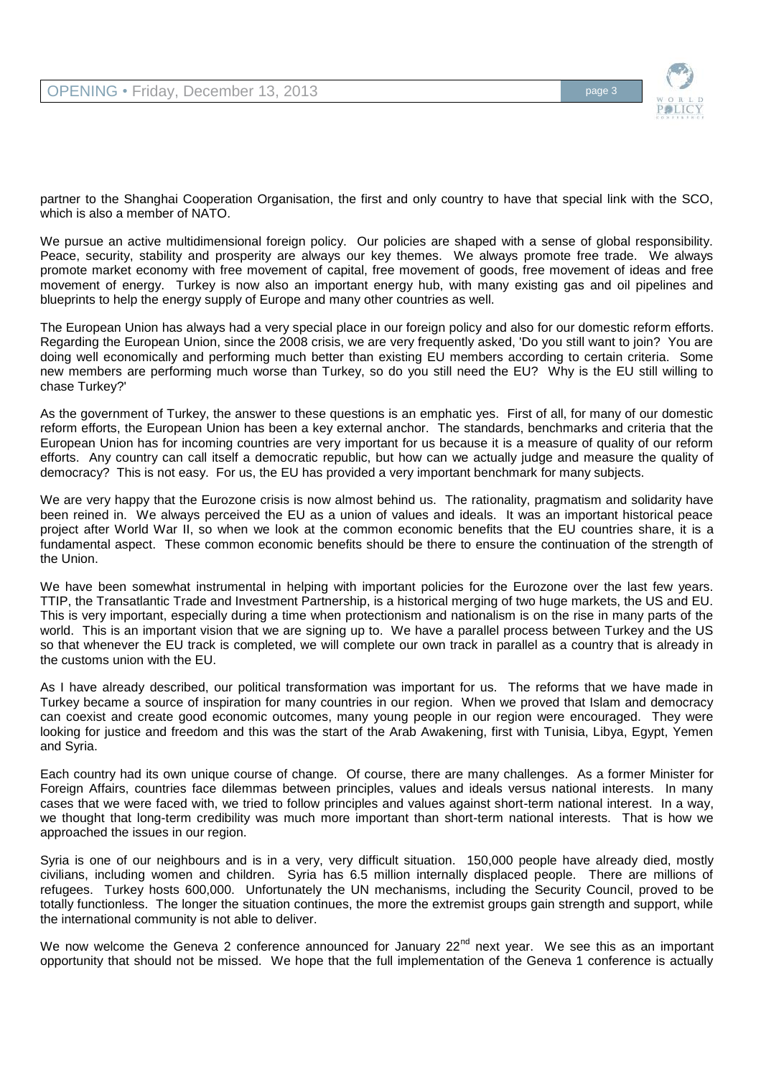

partner to the Shanghai Cooperation Organisation, the first and only country to have that special link with the SCO, which is also a member of NATO.

We pursue an active multidimensional foreign policy. Our policies are shaped with a sense of global responsibility. Peace, security, stability and prosperity are always our key themes. We always promote free trade. We always promote market economy with free movement of capital, free movement of goods, free movement of ideas and free movement of energy. Turkey is now also an important energy hub, with many existing gas and oil pipelines and blueprints to help the energy supply of Europe and many other countries as well.

The European Union has always had a very special place in our foreign policy and also for our domestic reform efforts. Regarding the European Union, since the 2008 crisis, we are very frequently asked, 'Do you still want to join? You are doing well economically and performing much better than existing EU members according to certain criteria. Some new members are performing much worse than Turkey, so do you still need the EU? Why is the EU still willing to chase Turkey?'

As the government of Turkey, the answer to these questions is an emphatic yes. First of all, for many of our domestic reform efforts, the European Union has been a key external anchor. The standards, benchmarks and criteria that the European Union has for incoming countries are very important for us because it is a measure of quality of our reform efforts. Any country can call itself a democratic republic, but how can we actually judge and measure the quality of democracy? This is not easy. For us, the EU has provided a very important benchmark for many subjects.

We are very happy that the Eurozone crisis is now almost behind us. The rationality, pragmatism and solidarity have been reined in. We always perceived the EU as a union of values and ideals. It was an important historical peace project after World War II, so when we look at the common economic benefits that the EU countries share, it is a fundamental aspect. These common economic benefits should be there to ensure the continuation of the strength of the Union.

We have been somewhat instrumental in helping with important policies for the Eurozone over the last few years. TTIP, the Transatlantic Trade and Investment Partnership, is a historical merging of two huge markets, the US and EU. This is very important, especially during a time when protectionism and nationalism is on the rise in many parts of the world. This is an important vision that we are signing up to. We have a parallel process between Turkey and the US so that whenever the EU track is completed, we will complete our own track in parallel as a country that is already in the customs union with the EU.

As I have already described, our political transformation was important for us. The reforms that we have made in Turkey became a source of inspiration for many countries in our region. When we proved that Islam and democracy can coexist and create good economic outcomes, many young people in our region were encouraged. They were looking for justice and freedom and this was the start of the Arab Awakening, first with Tunisia, Libya, Egypt, Yemen and Syria.

Each country had its own unique course of change. Of course, there are many challenges. As a former Minister for Foreign Affairs, countries face dilemmas between principles, values and ideals versus national interests. In many cases that we were faced with, we tried to follow principles and values against short-term national interest. In a way, we thought that long-term credibility was much more important than short-term national interests. That is how we approached the issues in our region.

Syria is one of our neighbours and is in a very, very difficult situation. 150,000 people have already died, mostly civilians, including women and children. Syria has 6.5 million internally displaced people. There are millions of refugees. Turkey hosts 600,000. Unfortunately the UN mechanisms, including the Security Council, proved to be totally functionless. The longer the situation continues, the more the extremist groups gain strength and support, while the international community is not able to deliver.

We now welcome the Geneva 2 conference announced for January  $22^{nd}$  next year. We see this as an important opportunity that should not be missed. We hope that the full implementation of the Geneva 1 conference is actually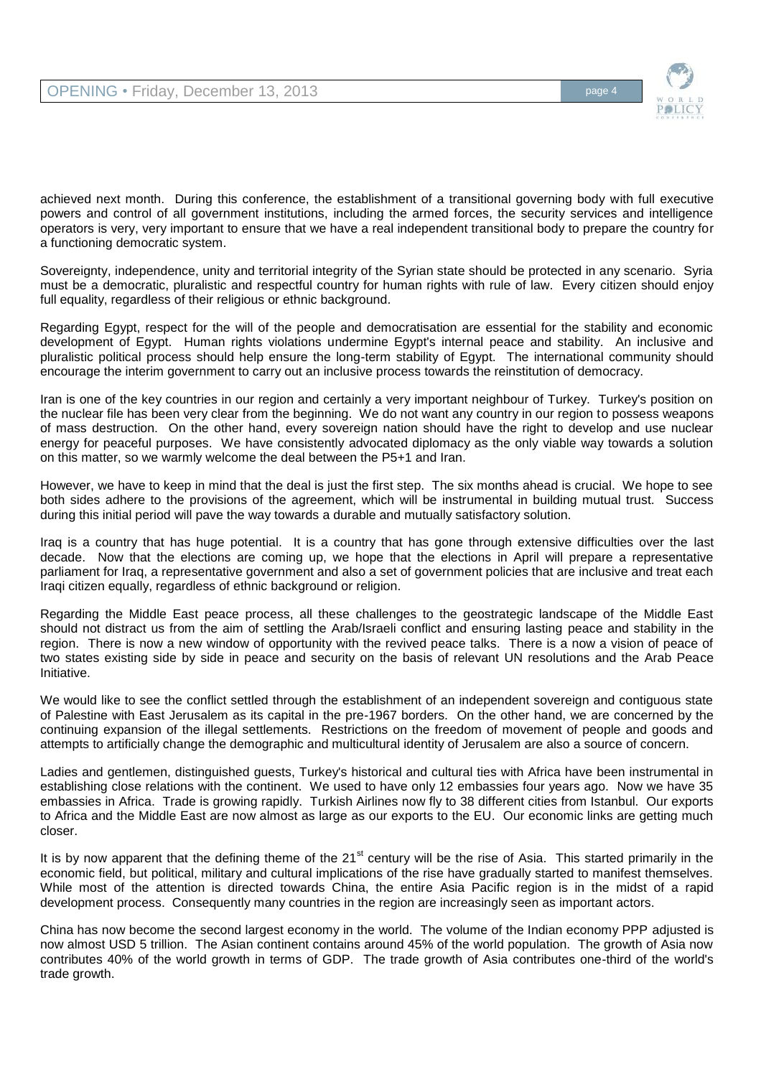

achieved next month. During this conference, the establishment of a transitional governing body with full executive powers and control of all government institutions, including the armed forces, the security services and intelligence operators is very, very important to ensure that we have a real independent transitional body to prepare the country for a functioning democratic system.

Sovereignty, independence, unity and territorial integrity of the Syrian state should be protected in any scenario. Syria must be a democratic, pluralistic and respectful country for human rights with rule of law. Every citizen should enjoy full equality, regardless of their religious or ethnic background.

Regarding Egypt, respect for the will of the people and democratisation are essential for the stability and economic development of Egypt. Human rights violations undermine Egypt's internal peace and stability. An inclusive and pluralistic political process should help ensure the long-term stability of Egypt. The international community should encourage the interim government to carry out an inclusive process towards the reinstitution of democracy.

Iran is one of the key countries in our region and certainly a very important neighbour of Turkey. Turkey's position on the nuclear file has been very clear from the beginning. We do not want any country in our region to possess weapons of mass destruction. On the other hand, every sovereign nation should have the right to develop and use nuclear energy for peaceful purposes. We have consistently advocated diplomacy as the only viable way towards a solution on this matter, so we warmly welcome the deal between the P5+1 and Iran.

However, we have to keep in mind that the deal is just the first step. The six months ahead is crucial. We hope to see both sides adhere to the provisions of the agreement, which will be instrumental in building mutual trust. Success during this initial period will pave the way towards a durable and mutually satisfactory solution.

Iraq is a country that has huge potential. It is a country that has gone through extensive difficulties over the last decade. Now that the elections are coming up, we hope that the elections in April will prepare a representative parliament for Iraq, a representative government and also a set of government policies that are inclusive and treat each Iraqi citizen equally, regardless of ethnic background or religion.

Regarding the Middle East peace process, all these challenges to the geostrategic landscape of the Middle East should not distract us from the aim of settling the Arab/Israeli conflict and ensuring lasting peace and stability in the region. There is now a new window of opportunity with the revived peace talks. There is a now a vision of peace of two states existing side by side in peace and security on the basis of relevant UN resolutions and the Arab Peace Initiative.

We would like to see the conflict settled through the establishment of an independent sovereign and contiguous state of Palestine with East Jerusalem as its capital in the pre-1967 borders. On the other hand, we are concerned by the continuing expansion of the illegal settlements. Restrictions on the freedom of movement of people and goods and attempts to artificially change the demographic and multicultural identity of Jerusalem are also a source of concern.

Ladies and gentlemen, distinguished guests, Turkey's historical and cultural ties with Africa have been instrumental in establishing close relations with the continent. We used to have only 12 embassies four years ago. Now we have 35 embassies in Africa. Trade is growing rapidly. Turkish Airlines now fly to 38 different cities from Istanbul. Our exports to Africa and the Middle East are now almost as large as our exports to the EU. Our economic links are getting much closer.

It is by now apparent that the defining theme of the  $21<sup>st</sup>$  century will be the rise of Asia. This started primarily in the economic field, but political, military and cultural implications of the rise have gradually started to manifest themselves. While most of the attention is directed towards China, the entire Asia Pacific region is in the midst of a rapid development process. Consequently many countries in the region are increasingly seen as important actors.

China has now become the second largest economy in the world. The volume of the Indian economy PPP adjusted is now almost USD 5 trillion. The Asian continent contains around 45% of the world population. The growth of Asia now contributes 40% of the world growth in terms of GDP. The trade growth of Asia contributes one-third of the world's trade growth.